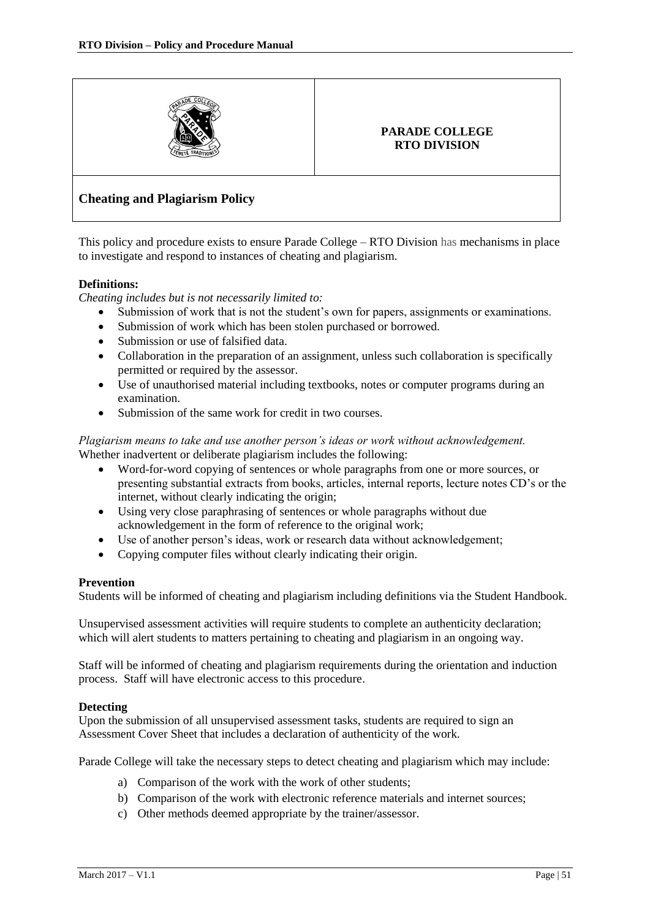

## **PARADE COLLEGE RTO DIVISION**

# **Cheating and Plagiarism Policy**

This policy and procedure exists to ensure Parade College – RTO Division has mechanisms in place to investigate and respond to instances of cheating and plagiarism.

#### **Definitions:**

*Cheating includes but is not necessarily limited to:*

- Submission of work that is not the student's own for papers, assignments or examinations.
- Submission of work which has been stolen purchased or borrowed.
- Submission or use of falsified data.
- Collaboration in the preparation of an assignment, unless such collaboration is specifically permitted or required by the assessor.
- Use of unauthorised material including textbooks, notes or computer programs during an examination.
- Submission of the same work for credit in two courses.

*Plagiarism means to take and use another person's ideas or work without acknowledgement.* Whether inadvertent or deliberate plagiarism includes the following:

- Word-for-word copying of sentences or whole paragraphs from one or more sources, or presenting substantial extracts from books, articles, internal reports, lecture notes CD's or the internet, without clearly indicating the origin;
- Using very close paraphrasing of sentences or whole paragraphs without due acknowledgement in the form of reference to the original work;
- Use of another person's ideas, work or research data without acknowledgement;
- Copying computer files without clearly indicating their origin.

#### **Prevention**

Students will be informed of cheating and plagiarism including definitions via the Student Handbook.

Unsupervised assessment activities will require students to complete an authenticity declaration; which will alert students to matters pertaining to cheating and plagiarism in an ongoing way.

Staff will be informed of cheating and plagiarism requirements during the orientation and induction process. Staff will have electronic access to this procedure.

#### **Detecting**

Upon the submission of all unsupervised assessment tasks, students are required to sign an Assessment Cover Sheet that includes a declaration of authenticity of the work.

Parade College will take the necessary steps to detect cheating and plagiarism which may include:

- a) Comparison of the work with the work of other students;
- b) Comparison of the work with electronic reference materials and internet sources;
- c) Other methods deemed appropriate by the trainer/assessor.